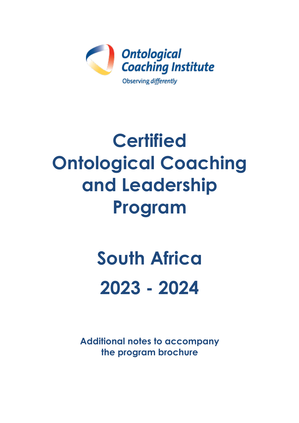

## **Certified Ontological Coaching and Leadership Program**

# **South Africa 2023 - 2024**

**Additional notes to accompany the program brochure**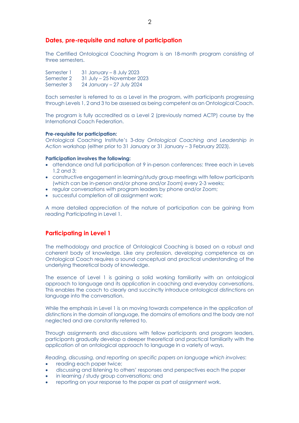#### **Dates, pre-requisite and nature of participation**

The Certified Ontological Coaching Program is an 18-month program consisting of three semesters.

Semester 1 31 January – 8 July 2023 Semester 2 31 July – 25 November 2023 Semester 3 24 January – 27 July 2024

Each semester is referred to as a Level in the program, with participants progressing through Levels 1, 2 and 3 to be assessed as being competent as an Ontological Coach.

The program is fully accredited as a Level 2 (previously named ACTP) course by the International Coach Federation.

#### **Pre-requisite for participation:**

Ontological Coaching Institute's 3-day *Ontological Coaching and Leadership in Action* workshop (either prior to 31 January or 31 January – 3 February 2023).

#### **Participation involves the following:**

- attendance and full participation at 9 in-person conferences: three each in Levels 1,2 and 3;
- constructive engagement in learning/study group meetings with fellow participants (which can be in-person and/or phone and/or Zoom) every 2-3 weeks;
- regular conversations with program leaders by phone and/or Zoom;
- successful completion of all assignment work;

A more detailed appreciation of the nature of participation can be gaining from reading Participating in Level 1.

#### **Participating in Level 1**

The methodology and practice of Ontological Coaching is based on a robust and coherent body of knowledge. Like any profession, developing competence as an Ontological Coach requires a sound conceptual and practical understanding of the underlying theoretical body of knowledge.

The essence of Level 1 is gaining a solid working familiarity with an ontological approach to language and its application in coaching and everyday conversations. This enables the coach to clearly and succinctly introduce ontological distinctions on language into the conversation.

While the emphasis in Level 1 is on moving towards competence in the application of distinctions in the domain of language, the domains of emotions and the body are not neglected and are constantly referred to.

Through assignments and discussions with fellow participants and program leaders, participants gradually develop a deeper theoretical and practical familiarity with the application of an ontological approach to language in a variety of ways.

*Reading, discussing, and reporting on specific papers on language which involves*:

- reading each paper twice;
- discussing and listening to others' responses and perspectives each the paper
- in learning / study group conversations; and
- reporting on your response to the paper as part of assignment work.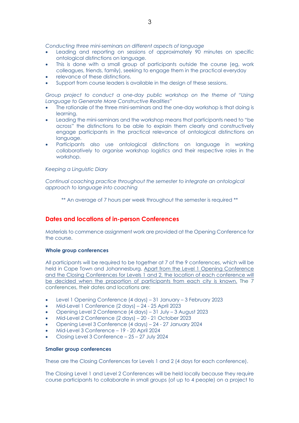*Conducting three mini-seminars on different aspects of language*

- Leading and reporting on sessions of approximately 90 minutes on specific ontological distinctions on language.
- This is done with a small group of participants outside the course (eg, work colleagues, friends, family), seeking to engage them in the practical everyday
- relevance of these distinctions.
- Support from course leaders is available in the design of these sessions.

*Group project to conduct a one-day public workshop on the theme of "Using Language to Generate More Constructive Realities"*

- The rationale of the three mini-seminars and the one-day workshop is that doing is learning.
- Leading the mini-seminars and the workshop means that participants need to "be across" the distinctions to be able to explain them clearly and constructively engage participants in the practical relevance of ontological distinctions on language.
- Participants also use ontological distinctions on language in working collaboratively to organise workshop logistics and their respective roles in the workshop.

#### *Keeping a Linguistic Diary*

*Continual coaching practice throughout the semester to integrate an ontological approach to language into coaching*

\*\* An average of 7 hours per week throughout the semester is required \*\*

#### **Dates and locations of in-person Conferences**

Materials to commence assignment work are provided at the Opening Conference for the course.

#### **Whole group conferences**

All participants will be required to be together at 7 of the 9 conferences, which will be held in Cape Town and Johannesburg. Apart from the Level 1 Opening Conference and the Closing Conferences for Levels 1 and 2, the location of each conference will be decided when the proportion of participants from each city is known. The 7 conferences, their dates and locations are:

- Level 1 Opening Conference (4 days) 31 January 3 February 2023
- Mid-Level 1 Conference (2 days) 24 25 April 2023
- Opening Level 2 Conference (4 days) 31 July 3 August 2023
- Mid-Level 2 Conference (2 days) 20 21 October 2023
- Opening Level 3 Conference (4 days) 24 27 January 2024
- Mid-Level 3 Conference 19 20 April 2024
- Closing Level 3 Conference 25 27 July 2024

#### **Smaller group conferences**

These are the Closing Conferences for Levels 1 and 2 (4 days for each conference).

The Closing Level 1 and Level 2 Conferences will be held locally because they require course participants to collaborate in small groups (of up to 4 people) on a project to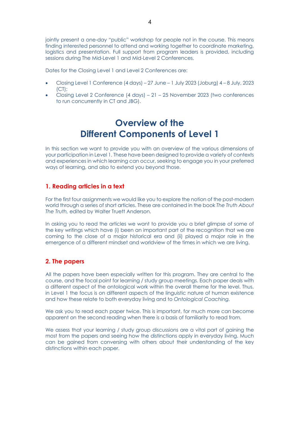4

jointly present a one-day "public" workshop for people not in the course. This means finding interested personnel to attend and working together to coordinate marketing, logistics and presentation. Full support from program leaders is provided, including sessions during The Mid-Level 1 and Mid-Level 2 Conferences.

Dates for the Closing Level 1 and Level 2 Conferences are:

- Closing Level 1 Conference (4 days) 27 June 1 July 2023 (Joburg) 4 8 July, 2023  $[CI]$ ;
- Closing Level 2 Conference (4 days) 21 25 November 2023 (two conferences to run concurrently in CT and JBG).

## **Overview of the Different Components of Level 1**

In this section we want to provide you with an overview of the various dimensions of your participation in Level 1. These have been designed to provide a variety of contexts and experiences in which learning can occur, seeking to engage you in your preferred ways of learning, and also to extend you beyond those.

## **1. Reading articles in a text**

For the first four assignments we would like you to explore the notion of the post-modern world through a series of short articles. These are contained in the book *The Truth About The Truth,* edited by Walter Truett Anderson.

In asking you to read the articles we want to provide you a brief glimpse of some of the key writings which have (i) been an important part of the recognition that we are coming to the close of a major historical era and (ii) played a major role in the emergence of a different mindset and worldview of the times in which we are living.

## **2. The papers**

All the papers have been especially written for this program. They are central to the course, and the focal point for learning / study group meetings. Each paper deals with a different aspect of the ontological work within the overall theme for the level. Thus, in Level 1 the focus is on different aspects of the linguistic nature of human existence and how these relate to both everyday living and to *Ontological Coaching.*

We ask you to read each paper twice. This is important, for much more can become apparent on the second reading when there is a basis of familiarity to read from.

We assess that your learning / study group discussions are a vital part of gaining the most from the papers and seeing how the distinctions apply in everyday living. Much can be gained from conversing with others about their understanding of the key distinctions within each paper.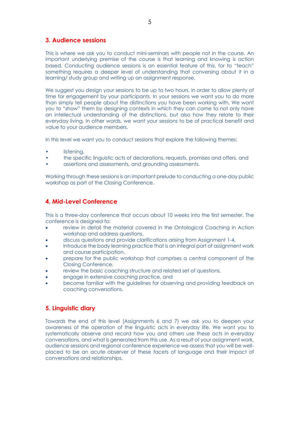#### **3. Audience sessions**

This is where we ask you to conduct mini-seminars with people not in the course. An important underlying premise of the course is that learning and knowing is action based. Conducting audience sessions is an essential feature of this, for to "teach" something requires a deeper level of understanding that conversing about it in a learning/ study group and writing up an assignment response.

We suggest you design your sessions to be up to two hours, in order to allow plenty of time for engagement by your participants. In your sessions we want you to do more than simply tell people about the distinctions you have been working with. We want you to "show" them by designing contexts in which they can come to not only have an intellectual understanding of the distinctions, but also how they relate to their everyday living. In other words, we want your sessions to be of practical benefit and value to your audience members.

In this level we want you to conduct sessions that explore the following themes:

- listening,
- the specific linguistic acts of declarations, requests, promises and offers, and
- assertions and assessments, and grounding assessments.

Working through these sessions is an important prelude to conducting a one-day public workshop as part of the Closing Conference.

## **4. Mid-Level Conference**

This is a three-day conference that occurs about 10 weeks into the first semester. The conference is designed to:

- review in detail the material covered in the Ontological Coaching in Action workshop and address questions,
- discuss questions and provide clarifications arising from Assignment 1-4,
- introduce the body learning practice that is an integral part of assignment work and course participation,
- prepare for the public workshop that comprises a central component of the Closing Conference,
- review the basic coaching structure and related set of questions,
- engage in extensive coaching practice, and
- become familiar with the guidelines for observing and providing feedback on coaching conversations.

## **5. Linguistic diary**

Towards the end of this level (Assignments 6 and 7) we ask you to deepen your awareness of the operation of the linguistic acts in everyday life. We want you to systematically observe and record how you and others use these acts in everyday conversations, and what is generated from this use. As a result of your assignment work, audience sessions and regional conference experience we assess that you will be wellplaced to be an acute observer of these facets of language and their impact of conversations and relationships.